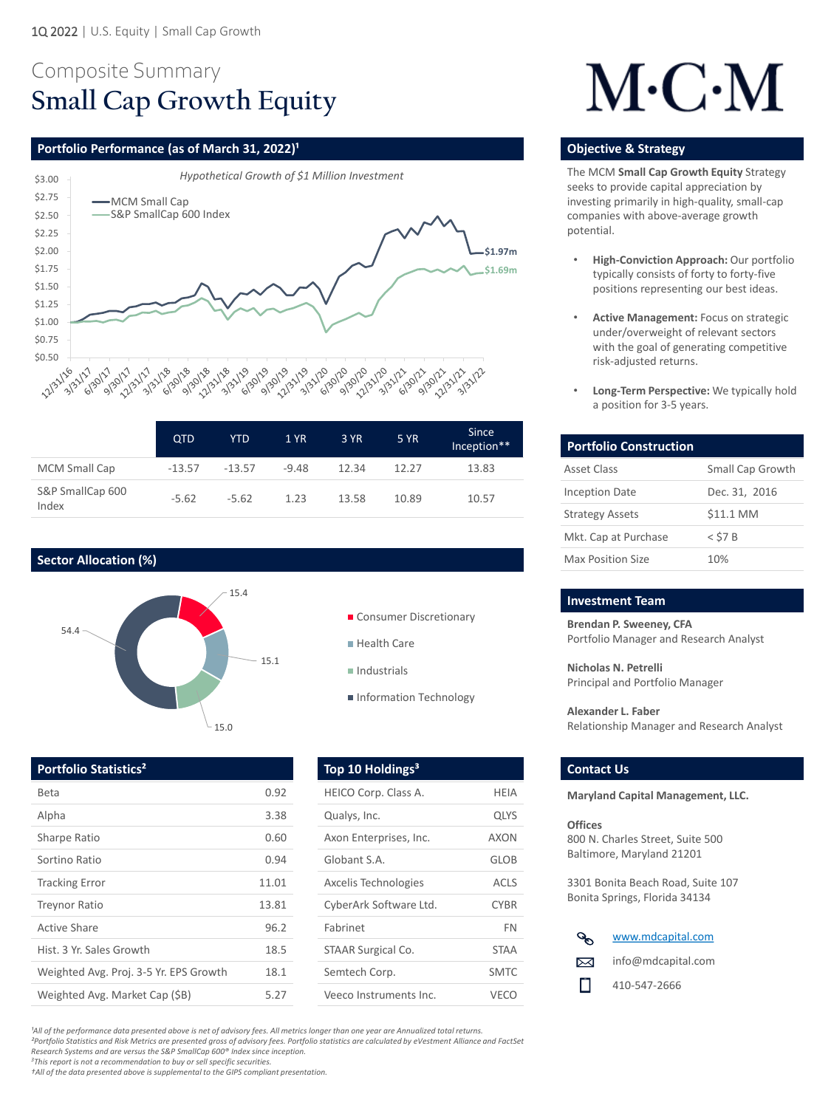# Composite Summary **Small Cap Growth Equity**

### **Portfolio Performance (as of March 31, 2022)<sup>1</sup> <b>Discription Construction Construction Construction Construction Construction Construction Construction Construction Construction Construction Construction Construction Cons**



*²Portfolio Statistics and Risk Metrics are presented gross of advisory fees. Portfolio statistics are calculated by eVestment Alliance and FactSet Research Systems and are versus the S&P SmallCap 600® Index since inception.*

*<sup>3</sup>This report is not a recommendation to buy or sell specific securities.* 

*†All of the data presented above is supplemental to the GIPS compliant presentation.* 

|                           | <b>QTD</b> | <b>YTD</b> | <b>1 YR</b> | <b>3 YR</b> | <b>5 YR</b> | <b>Since</b><br>Inception** |
|---------------------------|------------|------------|-------------|-------------|-------------|-----------------------------|
| <b>MCM Small Cap</b>      | $-13.57$   | $-13.57$   | $-9.48$     | 12.34       | 12.27       | 13.83                       |
| S&P SmallCap 600<br>Index | $-5.62$    | $-5.62$    | 1.23        | 13.58       |             | 10.57                       |



- Consumer Discretionary
- Health Care
- $\blacksquare$  Industrials
- Information Technology

# $M\cdot C\cdot M$

**Brendan P. Sweeney, CFA**  Portfolio Manager and Research Analyst

**Nicholas N. Petrelli**  Principal and Portfolio Manager

**Alexander L. Faber**  Relationship Manager and Research Analyst

**Portfolio Statistics<sup>2</sup> Contact Us and Top 10 Holdings<sup>3</sup> Contact Us** 

| <b>Beta</b>                            | 0.92  | HE  |
|----------------------------------------|-------|-----|
| Alpha                                  | 3.38  | Qu  |
| <b>Sharpe Ratio</b>                    | 0.60  | Ax  |
| Sortino Ratio                          | 0.94  | Glo |
| <b>Tracking Error</b>                  | 11.01 | Ax  |
| <b>Treynor Ratio</b>                   | 13.81 | Cyl |
| <b>Active Share</b>                    | 96.2  | Fal |
| Hist. 3 Yr. Sales Growth               | 18.5  | ST/ |
| Weighted Avg. Proj. 3-5 Yr. EPS Growth | 18.1  | Sei |
| Weighted Avg. Market Cap (\$B)         | 5.27  | Ve  |

The MCM **Small Cap Growth Equity** Strategy seeks to provide capital appreciation by investing primarily in high-quality, small-cap companies with above-average growth potential.

| <b>Portfolio Construction</b> |                         |
|-------------------------------|-------------------------|
| <b>Asset Class</b>            | <b>Small Cap Growth</b> |
| <b>Inception Date</b>         | Dec. 31, 2016           |
| <b>Strategy Assets</b>        | \$11.1 MM               |
| Mkt. Cap at Purchase          | $<$ \$7 B               |
| <b>Max Position Size</b>      | 10%                     |

#### **Investment Team**

- **High-Conviction Approach:** Our portfolio typically consists of forty to forty-five positions representing our best ideas.
- **Active Management:** Focus on strategic under/overweight of relevant sectors with the goal of generating competitive risk-adjusted returns.
- **Long-Term Perspective:** We typically hold a position for 3-5 years.

## **Sector Allocation (%)**



<sup>1</sup>All of the performance data presented above is net of advisory fees. All metrics longer than one year are Annualized total returns.

**Maryland Capital Management, LLC.**

#### **Offices**

800 N. Charles Street, Suite 500 Baltimore, Maryland 21201

3301 Bonita Beach Road, Suite 107 Bonita Springs, Florida 34134

| HEICO Corp. Class A.        | HFIA        |
|-----------------------------|-------------|
| Qualys, Inc.                | <b>QLYS</b> |
| Axon Enterprises, Inc.      | AXON        |
| Globant S.A.                | GLOB        |
| <b>Axcelis Technologies</b> | <b>ACLS</b> |
| CyberArk Software Ltd.      | <b>CYBR</b> |
| Fabrinet                    | <b>FN</b>   |
| <b>STAAR Surgical Co.</b>   | <b>STAA</b> |
| Semtech Corp.               | <b>SMTC</b> |
| Veeco Instruments Inc.      | VFCC        |